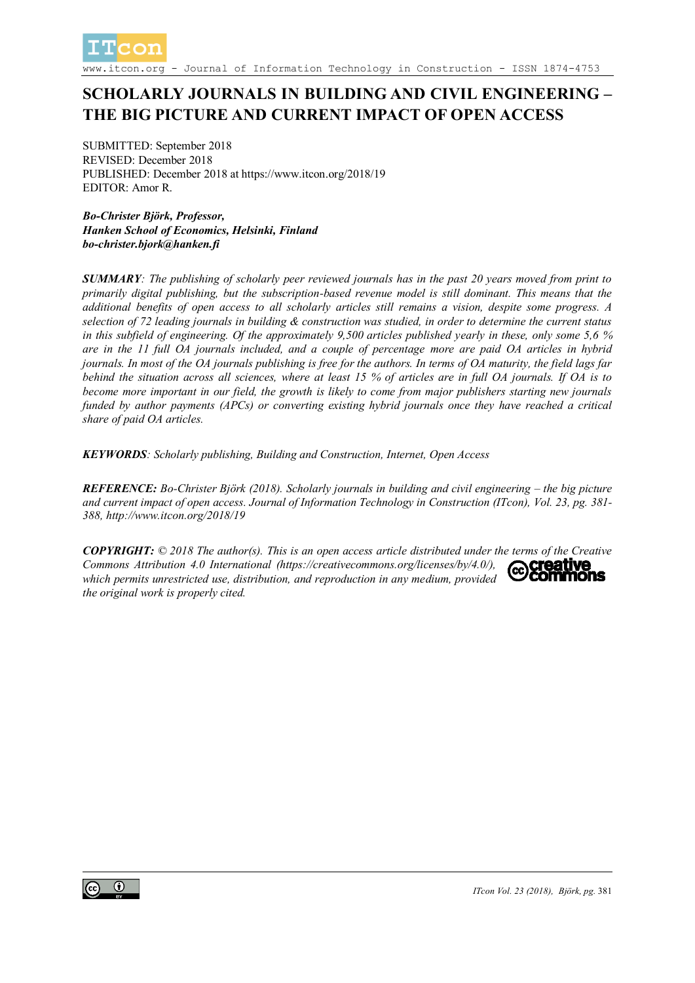

Journal of Information Technology in Construction - ISSN 1874-4753

# **SCHOLARLY JOURNALS IN BUILDING AND CIVIL ENGINEERING – THE BIG PICTURE AND CURRENT IMPACT OF OPEN ACCESS**

SUBMITTED: September 2018 REVISED: December 2018 PUBLISHED: December 2018 at https://www.itcon.org/2018/19 EDITOR: Amor R.

*Bo-Christer Björk, Professor, Hanken School of Economics, Helsinki, Finland bo-christer.bjork@hanken.fi*

*SUMMARY: The publishing of scholarly peer reviewed journals has in the past 20 years moved from print to primarily digital publishing, but the subscription-based revenue model is still dominant. This means that the additional benefits of open access to all scholarly articles still remains a vision, despite some progress. A selection of 72 leading journals in building & construction was studied, in order to determine the current status in this subfield of engineering. Of the approximately 9,500 articles published yearly in these, only some 5,6 % are in the 11 full OA journals included, and a couple of percentage more are paid OA articles in hybrid journals. In most of the OA journals publishing is free for the authors. In terms of OA maturity, the field lags far behind the situation across all sciences, where at least 15 % of articles are in full OA journals. If OA is to become more important in our field, the growth is likely to come from major publishers starting new journals funded by author payments (APCs) or converting existing hybrid journals once they have reached a critical share of paid OA articles.*

*KEYWORDS: Scholarly publishing, Building and Construction, Internet, Open Access*

*REFERENCE: Bo-Christer Björk (2018). Scholarly journals in building and civil engineering – the big picture and current impact of open access. Journal of Information Technology in Construction (ITcon), Vol. 23, pg. 381- 388, http://www.itcon.org/2018/19*

*COPYRIGHT: © 2018 The author(s). This is an open access article distributed under the terms of the Creative Commons Attribution 4.0 International (https://creativecommons.org/licenses/by/4.0/), which permits unrestricted use, distribution, and reproduction in any medium, provided the original work is properly cited.*

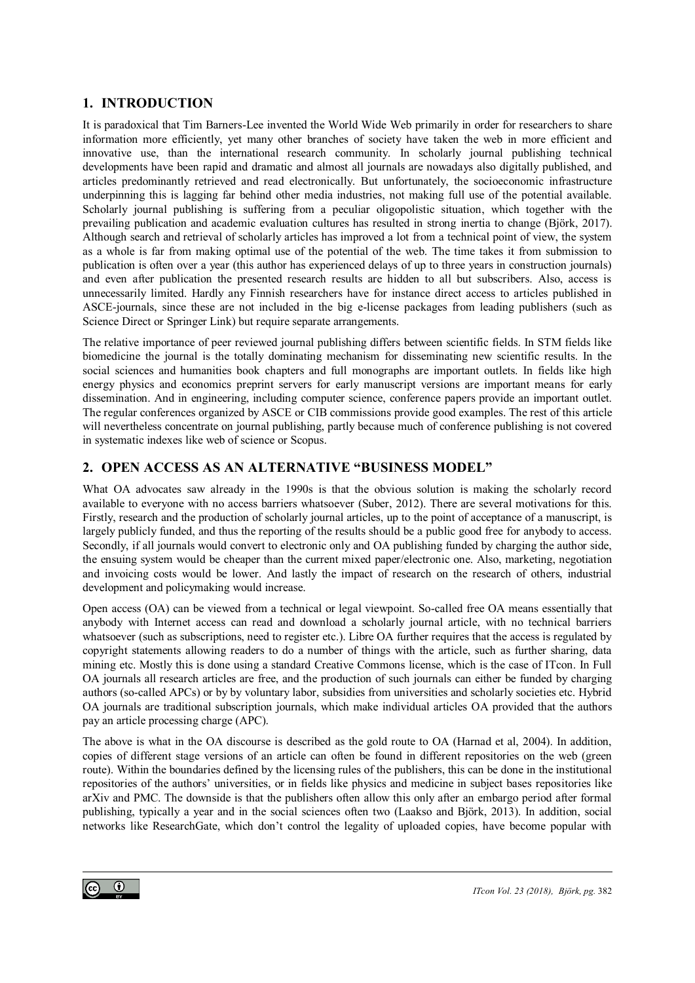#### **1. INTRODUCTION**

It is paradoxical that Tim Barners-Lee invented the World Wide Web primarily in order for researchers to share information more efficiently, yet many other branches of society have taken the web in more efficient and innovative use, than the international research community. In scholarly journal publishing technical developments have been rapid and dramatic and almost all journals are nowadays also digitally published, and articles predominantly retrieved and read electronically. But unfortunately, the socioeconomic infrastructure underpinning this is lagging far behind other media industries, not making full use of the potential available. Scholarly journal publishing is suffering from a peculiar oligopolistic situation, which together with the prevailing publication and academic evaluation cultures has resulted in strong inertia to change (Björk, 2017). Although search and retrieval of scholarly articles has improved a lot from a technical point of view, the system as a whole is far from making optimal use of the potential of the web. The time takes it from submission to publication is often over a year (this author has experienced delays of up to three years in construction journals) and even after publication the presented research results are hidden to all but subscribers. Also, access is unnecessarily limited. Hardly any Finnish researchers have for instance direct access to articles published in ASCE-journals, since these are not included in the big e-license packages from leading publishers (such as Science Direct or Springer Link) but require separate arrangements.

The relative importance of peer reviewed journal publishing differs between scientific fields. In STM fields like biomedicine the journal is the totally dominating mechanism for disseminating new scientific results. In the social sciences and humanities book chapters and full monographs are important outlets. In fields like high energy physics and economics preprint servers for early manuscript versions are important means for early dissemination. And in engineering, including computer science, conference papers provide an important outlet. The regular conferences organized by ASCE or CIB commissions provide good examples. The rest of this article will nevertheless concentrate on journal publishing, partly because much of conference publishing is not covered in systematic indexes like web of science or Scopus.

#### **2. OPEN ACCESS AS AN ALTERNATIVE "BUSINESS MODEL"**

What OA advocates saw already in the 1990s is that the obvious solution is making the scholarly record available to everyone with no access barriers whatsoever (Suber, 2012). There are several motivations for this. Firstly, research and the production of scholarly journal articles, up to the point of acceptance of a manuscript, is largely publicly funded, and thus the reporting of the results should be a public good free for anybody to access. Secondly, if all journals would convert to electronic only and OA publishing funded by charging the author side, the ensuing system would be cheaper than the current mixed paper/electronic one. Also, marketing, negotiation and invoicing costs would be lower. And lastly the impact of research on the research of others, industrial development and policymaking would increase.

Open access (OA) can be viewed from a technical or legal viewpoint. So-called free OA means essentially that anybody with Internet access can read and download a scholarly journal article, with no technical barriers whatsoever (such as subscriptions, need to register etc.). Libre OA further requires that the access is regulated by copyright statements allowing readers to do a number of things with the article, such as further sharing, data mining etc. Mostly this is done using a standard Creative Commons license, which is the case of ITcon. In Full OA journals all research articles are free, and the production of such journals can either be funded by charging authors (so-called APCs) or by by voluntary labor, subsidies from universities and scholarly societies etc. Hybrid OA journals are traditional subscription journals, which make individual articles OA provided that the authors pay an article processing charge (APC).

The above is what in the OA discourse is described as the gold route to OA (Harnad et al, 2004). In addition, copies of different stage versions of an article can often be found in different repositories on the web (green route). Within the boundaries defined by the licensing rules of the publishers, this can be done in the institutional repositories of the authors' universities, or in fields like physics and medicine in subject bases repositories like arXiv and PMC. The downside is that the publishers often allow this only after an embargo period after formal publishing, typically a year and in the social sciences often two (Laakso and Björk, 2013). In addition, social networks like ResearchGate, which don't control the legality of uploaded copies, have become popular with

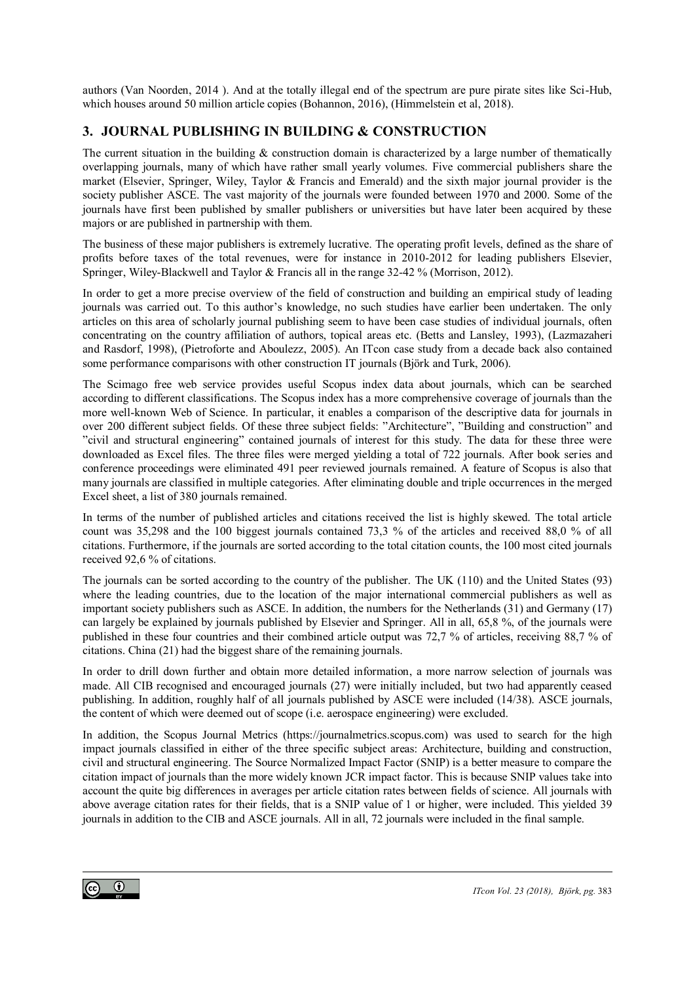authors (Van Noorden, 2014 ). And at the totally illegal end of the spectrum are pure pirate sites like Sci-Hub, which houses around 50 million article copies (Bohannon, 2016), (Himmelstein et al, 2018).

# **3. JOURNAL PUBLISHING IN BUILDING & CONSTRUCTION**

The current situation in the building  $\&$  construction domain is characterized by a large number of thematically overlapping journals, many of which have rather small yearly volumes. Five commercial publishers share the market (Elsevier, Springer, Wiley, Taylor & Francis and Emerald) and the sixth major journal provider is the society publisher ASCE. The vast majority of the journals were founded between 1970 and 2000. Some of the journals have first been published by smaller publishers or universities but have later been acquired by these majors or are published in partnership with them.

The business of these major publishers is extremely lucrative. The operating profit levels, defined as the share of profits before taxes of the total revenues, were for instance in 2010-2012 for leading publishers Elsevier, Springer, Wiley-Blackwell and Taylor & Francis all in the range 32-42 % (Morrison, 2012).

In order to get a more precise overview of the field of construction and building an empirical study of leading journals was carried out. To this author's knowledge, no such studies have earlier been undertaken. The only articles on this area of scholarly journal publishing seem to have been case studies of individual journals, often concentrating on the country affiliation of authors, topical areas etc. (Betts and Lansley, 1993), (Lazmazaheri and Rasdorf, 1998), (Pietroforte and Aboulezz, 2005). An ITcon case study from a decade back also contained some performance comparisons with other construction IT journals (Björk and Turk, 2006).

The Scimago free web service provides useful Scopus index data about journals, which can be searched according to different classifications. The Scopus index has a more comprehensive coverage of journals than the more well-known Web of Science. In particular, it enables a comparison of the descriptive data for journals in over 200 different subject fields. Of these three subject fields: "Architecture", "Building and construction" and "civil and structural engineering" contained journals of interest for this study. The data for these three were downloaded as Excel files. The three files were merged yielding a total of 722 journals. After book series and conference proceedings were eliminated 491 peer reviewed journals remained. A feature of Scopus is also that many journals are classified in multiple categories. After eliminating double and triple occurrences in the merged Excel sheet, a list of 380 journals remained.

In terms of the number of published articles and citations received the list is highly skewed. The total article count was 35,298 and the 100 biggest journals contained 73,3 % of the articles and received 88,0 % of all citations. Furthermore, if the journals are sorted according to the total citation counts, the 100 most cited journals received 92,6 % of citations.

The journals can be sorted according to the country of the publisher. The UK (110) and the United States (93) where the leading countries, due to the location of the major international commercial publishers as well as important society publishers such as ASCE. In addition, the numbers for the Netherlands (31) and Germany (17) can largely be explained by journals published by Elsevier and Springer. All in all, 65,8 %, of the journals were published in these four countries and their combined article output was 72,7 % of articles, receiving 88,7 % of citations. China (21) had the biggest share of the remaining journals.

In order to drill down further and obtain more detailed information, a more narrow selection of journals was made. All CIB recognised and encouraged journals (27) were initially included, but two had apparently ceased publishing. In addition, roughly half of all journals published by ASCE were included (14/38). ASCE journals, the content of which were deemed out of scope (i.e. aerospace engineering) were excluded.

In addition, the Scopus Journal Metrics (https://journalmetrics.scopus.com) was used to search for the high impact journals classified in either of the three specific subject areas: Architecture, building and construction, civil and structural engineering. The Source Normalized Impact Factor (SNIP) is a better measure to compare the citation impact of journals than the more widely known JCR impact factor. This is because SNIP values take into account the quite big differences in averages per article citation rates between fields of science. All journals with above average citation rates for their fields, that is a SNIP value of 1 or higher, were included. This yielded 39 journals in addition to the CIB and ASCE journals. All in all, 72 journals were included in the final sample.

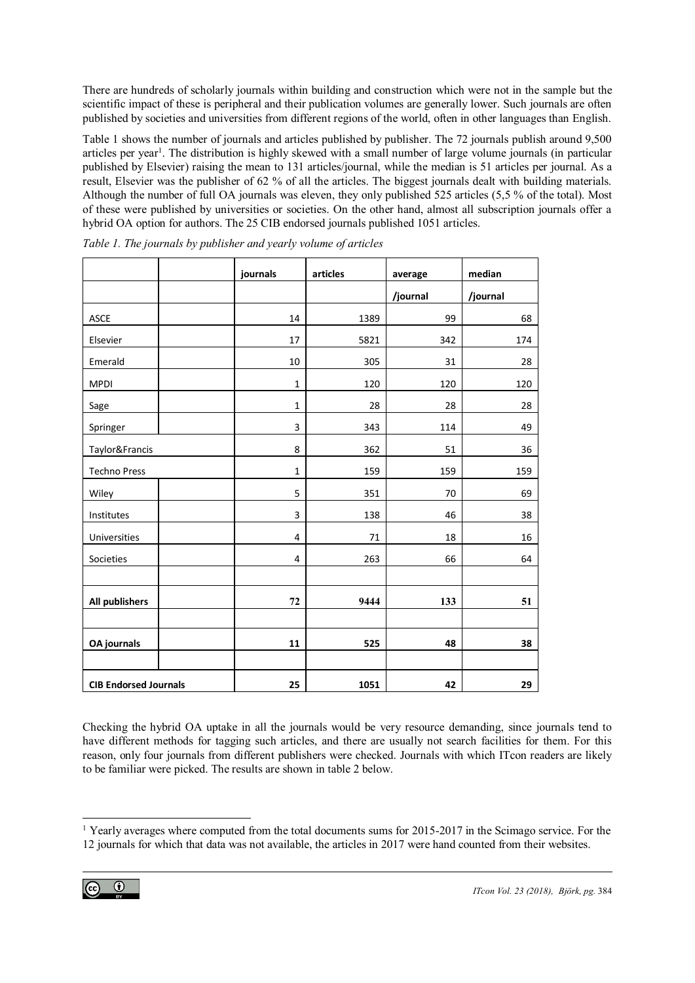There are hundreds of scholarly journals within building and construction which were not in the sample but the scientific impact of these is peripheral and their publication volumes are generally lower. Such journals are often published by societies and universities from different regions of the world, often in other languages than English.

Table 1 shows the number of journals and articles published by publisher. The 72 journals publish around 9,500 articles per year<sup>1</sup>. The distribution is highly skewed with a small number of large volume journals (in particular published by Elsevier) raising the mean to 131 articles/journal, while the median is 51 articles per journal. As a result, Elsevier was the publisher of 62 % of all the articles. The biggest journals dealt with building materials. Although the number of full OA journals was eleven, they only published 525 articles (5,5 % of the total). Most of these were published by universities or societies. On the other hand, almost all subscription journals offer a hybrid OA option for authors. The 25 CIB endorsed journals published 1051 articles.

|                              | journals     | articles | average  | median   |
|------------------------------|--------------|----------|----------|----------|
|                              |              |          | /journal | /journal |
| <b>ASCE</b>                  | 14           | 1389     | 99       | 68       |
| Elsevier                     | 17           | 5821     | 342      | 174      |
| Emerald                      | 10           | 305      | 31       | 28       |
| <b>MPDI</b>                  | $\mathbf{1}$ | 120      | 120      | 120      |
| Sage                         | $\mathbf 1$  | 28       | 28       | 28       |
| Springer                     | 3            | 343      | 114      | 49       |
| Taylor&Francis               | 8            | 362      | 51       | 36       |
| <b>Techno Press</b>          | $\mathbf 1$  | 159      | 159      | 159      |
| Wiley                        | 5            | 351      | 70       | 69       |
| Institutes                   | 3            | 138      | 46       | 38       |
| Universities                 | 4            | 71       | 18       | 16       |
| Societies                    | 4            | 263      | 66       | 64       |
|                              |              |          |          |          |
| <b>All publishers</b>        | 72           | 9444     | 133      | 51       |
|                              |              |          |          |          |
| <b>OA</b> journals           | 11           | 525      | 48       | 38       |
|                              |              |          |          |          |
| <b>CIB Endorsed Journals</b> | 25           | 1051     | 42       | 29       |

*Table 1. The journals by publisher and yearly volume of articles*

Checking the hybrid OA uptake in all the journals would be very resource demanding, since journals tend to have different methods for tagging such articles, and there are usually not search facilities for them. For this reason, only four journals from different publishers were checked. Journals with which ITcon readers are likely to be familiar were picked. The results are shown in table 2 below.

l <sup>1</sup> Yearly averages where computed from the total documents sums for 2015-2017 in the Scimago service. For the 12 journals for which that data was not available, the articles in 2017 were hand counted from their websites.

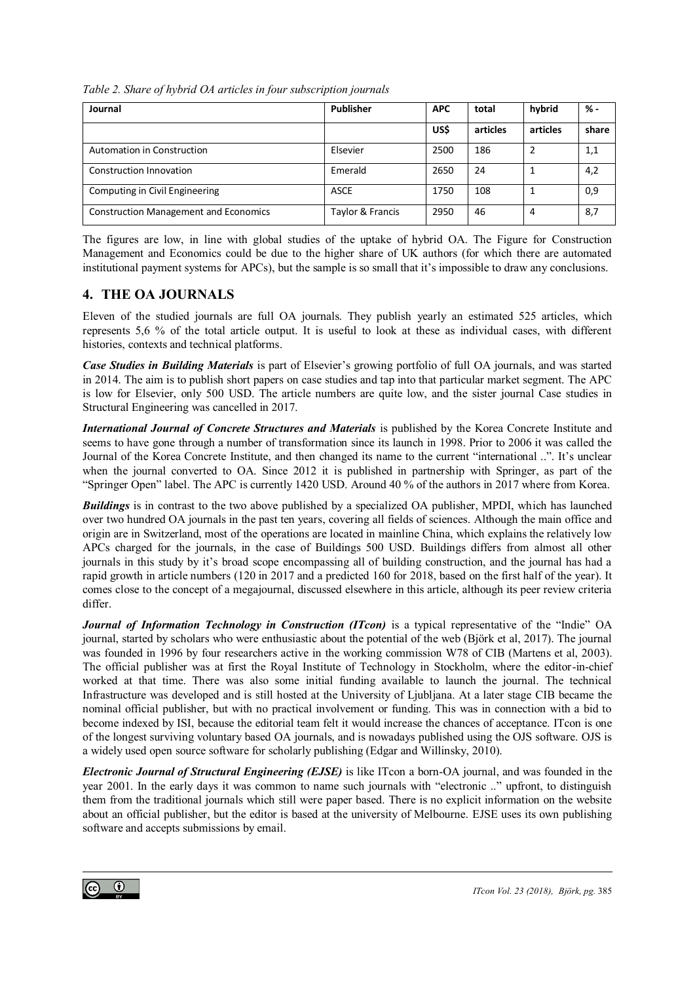*Table 2. Share of hybrid OA articles in four subscription journals*

| Journal                                      | Publisher        | <b>APC</b> | total    | hybrid   | % -   |
|----------------------------------------------|------------------|------------|----------|----------|-------|
|                                              |                  | US\$       | articles | articles | share |
| Automation in Construction                   | Elsevier         | 2500       | 186      |          | 1,1   |
| Construction Innovation                      | Emerald          | 2650       | 24       |          | 4,2   |
| Computing in Civil Engineering               | <b>ASCE</b>      | 1750       | 108      |          | 0,9   |
| <b>Construction Management and Economics</b> | Taylor & Francis | 2950       | 46       | 4        | 8,7   |

The figures are low, in line with global studies of the uptake of hybrid OA. The Figure for Construction Management and Economics could be due to the higher share of UK authors (for which there are automated institutional payment systems for APCs), but the sample is so small that it's impossible to draw any conclusions.

## **4. THE OA JOURNALS**

Eleven of the studied journals are full OA journals. They publish yearly an estimated 525 articles, which represents 5,6 % of the total article output. It is useful to look at these as individual cases, with different histories, contexts and technical platforms.

*Case Studies in Building Materials* is part of Elsevier's growing portfolio of full OA journals, and was started in 2014. The aim is to publish short papers on case studies and tap into that particular market segment. The APC is low for Elsevier, only 500 USD. The article numbers are quite low, and the sister journal Case studies in Structural Engineering was cancelled in 2017.

*International Journal of Concrete Structures and Materials* is published by the Korea Concrete Institute and seems to have gone through a number of transformation since its launch in 1998. Prior to 2006 it was called the Journal of the Korea Concrete Institute, and then changed its name to the current "international ..". It's unclear when the journal converted to OA. Since 2012 it is published in partnership with Springer, as part of the "Springer Open" label. The APC is currently 1420 USD. Around 40 % of the authors in 2017 where from Korea.

*Buildings* is in contrast to the two above published by a specialized OA publisher, MPDI, which has launched over two hundred OA journals in the past ten years, covering all fields of sciences. Although the main office and origin are in Switzerland, most of the operations are located in mainline China, which explains the relatively low APCs charged for the journals, in the case of Buildings 500 USD. Buildings differs from almost all other journals in this study by it's broad scope encompassing all of building construction, and the journal has had a rapid growth in article numbers (120 in 2017 and a predicted 160 for 2018, based on the first half of the year). It comes close to the concept of a megajournal, discussed elsewhere in this article, although its peer review criteria differ.

*Journal of Information Technology in Construction (ITcon)* is a typical representative of the "Indie" OA journal, started by scholars who were enthusiastic about the potential of the web (Björk et al, 2017). The journal was founded in 1996 by four researchers active in the working commission W78 of CIB (Martens et al, 2003). The official publisher was at first the Royal Institute of Technology in Stockholm, where the editor-in-chief worked at that time. There was also some initial funding available to launch the journal. The technical Infrastructure was developed and is still hosted at the University of Ljubljana. At a later stage CIB became the nominal official publisher, but with no practical involvement or funding. This was in connection with a bid to become indexed by ISI, because the editorial team felt it would increase the chances of acceptance. ITcon is one of the longest surviving voluntary based OA journals, and is nowadays published using the OJS software. OJS is a widely used open source software for scholarly publishing (Edgar and Willinsky, 2010).

*Electronic Journal of Structural Engineering (EJSE)* is like ITcon a born-OA journal, and was founded in the year 2001. In the early days it was common to name such journals with "electronic .." upfront, to distinguish them from the traditional journals which still were paper based. There is no explicit information on the website about an official publisher, but the editor is based at the university of Melbourne. EJSE uses its own publishing software and accepts submissions by email.

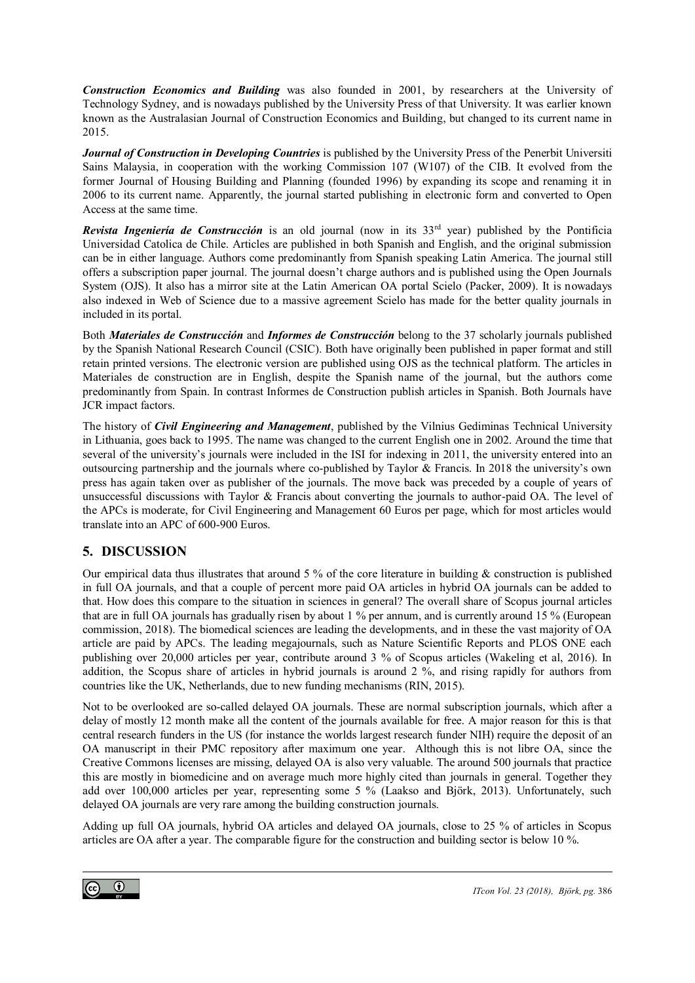*Construction Economics and Building* was also founded in 2001, by researchers at the University of Technology Sydney, and is nowadays published by the University Press of that University. It was earlier known known as the Australasian Journal of Construction Economics and Building, but changed to its current name in 2015.

*Journal of Construction in Developing Countries* is published by the University Press of the Penerbit Universiti Sains Malaysia, in cooperation with the working Commission 107 (W107) of the CIB. It evolved from the former Journal of Housing Building and Planning (founded 1996) by expanding its scope and renaming it in 2006 to its current name. Apparently, the journal started publishing in electronic form and converted to Open Access at the same time.

*Revista Ingeniería de Construcción* is an old journal (now in its 33rd year) published by the Pontificia Universidad Catolica de Chile. Articles are published in both Spanish and English, and the original submission can be in either language. Authors come predominantly from Spanish speaking Latin America. The journal still offers a subscription paper journal. The journal doesn't charge authors and is published using the Open Journals System (OJS). It also has a mirror site at the Latin American OA portal Scielo (Packer, 2009). It is nowadays also indexed in Web of Science due to a massive agreement Scielo has made for the better quality journals in included in its portal.

Both *Materiales de Construcción* and *Informes de Construcción* belong to the 37 scholarly journals published by the Spanish National Research Council (CSIC). Both have originally been published in paper format and still retain printed versions. The electronic version are published using OJS as the technical platform. The articles in Materiales de construction are in English, despite the Spanish name of the journal, but the authors come predominantly from Spain. In contrast Informes de Construction publish articles in Spanish. Both Journals have JCR impact factors.

The history of *Civil Engineering and Management*, published by the Vilnius Gediminas Technical University in Lithuania, goes back to 1995. The name was changed to the current English one in 2002. Around the time that several of the university's journals were included in the ISI for indexing in 2011, the university entered into an outsourcing partnership and the journals where co-published by Taylor & Francis. In 2018 the university's own press has again taken over as publisher of the journals. The move back was preceded by a couple of years of unsuccessful discussions with Taylor & Francis about converting the journals to author-paid OA. The level of the APCs is moderate, for Civil Engineering and Management 60 Euros per page, which for most articles would translate into an APC of 600-900 Euros.

## **5. DISCUSSION**

Our empirical data thus illustrates that around 5 % of the core literature in building  $\&$  construction is published in full OA journals, and that a couple of percent more paid OA articles in hybrid OA journals can be added to that. How does this compare to the situation in sciences in general? The overall share of Scopus journal articles that are in full OA journals has gradually risen by about 1 % per annum, and is currently around 15 % (European commission, 2018). The biomedical sciences are leading the developments, and in these the vast majority of OA article are paid by APCs. The leading megajournals, such as Nature Scientific Reports and PLOS ONE each publishing over 20,000 articles per year, contribute around 3 % of Scopus articles (Wakeling et al, 2016). In addition, the Scopus share of articles in hybrid journals is around 2 %, and rising rapidly for authors from countries like the UK, Netherlands, due to new funding mechanisms (RIN, 2015).

Not to be overlooked are so-called delayed OA journals. These are normal subscription journals, which after a delay of mostly 12 month make all the content of the journals available for free. A major reason for this is that central research funders in the US (for instance the worlds largest research funder NIH) require the deposit of an OA manuscript in their PMC repository after maximum one year. Although this is not libre OA, since the Creative Commons licenses are missing, delayed OA is also very valuable. The around 500 journals that practice this are mostly in biomedicine and on average much more highly cited than journals in general. Together they add over 100,000 articles per year, representing some 5 % (Laakso and Björk, 2013). Unfortunately, such delayed OA journals are very rare among the building construction journals.

Adding up full OA journals, hybrid OA articles and delayed OA journals, close to 25 % of articles in Scopus articles are OA after a year. The comparable figure for the construction and building sector is below 10 %.

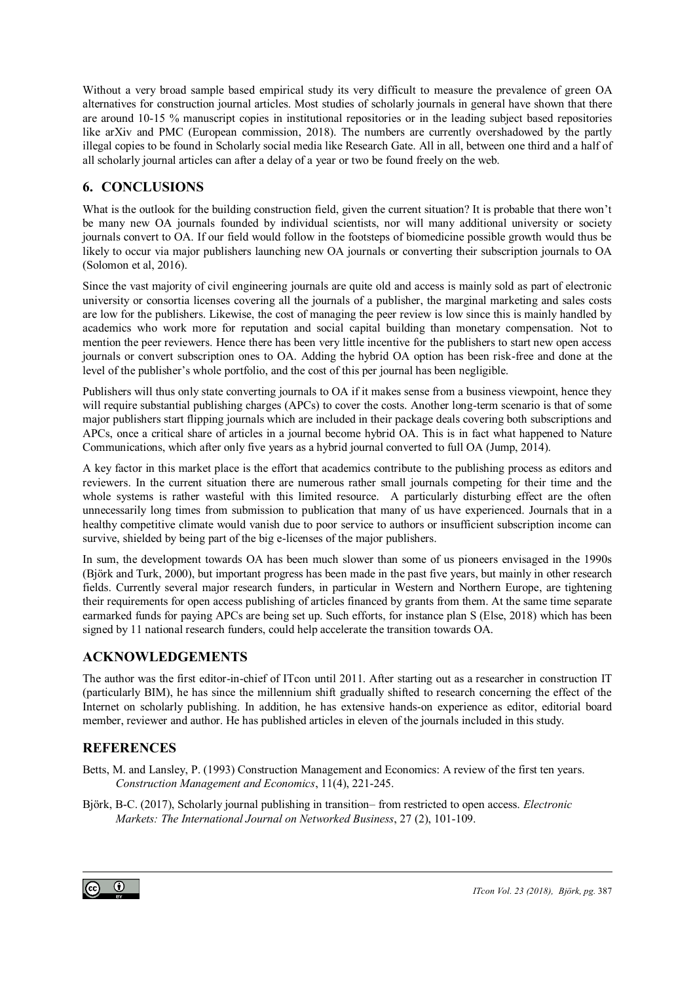Without a very broad sample based empirical study its very difficult to measure the prevalence of green OA alternatives for construction journal articles. Most studies of scholarly journals in general have shown that there are around 10-15 % manuscript copies in institutional repositories or in the leading subject based repositories like arXiv and PMC (European commission, 2018). The numbers are currently overshadowed by the partly illegal copies to be found in Scholarly social media like Research Gate. All in all, between one third and a half of all scholarly journal articles can after a delay of a year or two be found freely on the web.

# **6. CONCLUSIONS**

What is the outlook for the building construction field, given the current situation? It is probable that there won't be many new OA journals founded by individual scientists, nor will many additional university or society journals convert to OA. If our field would follow in the footsteps of biomedicine possible growth would thus be likely to occur via major publishers launching new OA journals or converting their subscription journals to OA (Solomon et al, 2016).

Since the vast majority of civil engineering journals are quite old and access is mainly sold as part of electronic university or consortia licenses covering all the journals of a publisher, the marginal marketing and sales costs are low for the publishers. Likewise, the cost of managing the peer review is low since this is mainly handled by academics who work more for reputation and social capital building than monetary compensation. Not to mention the peer reviewers. Hence there has been very little incentive for the publishers to start new open access journals or convert subscription ones to OA. Adding the hybrid OA option has been risk-free and done at the level of the publisher's whole portfolio, and the cost of this per journal has been negligible.

Publishers will thus only state converting journals to OA if it makes sense from a business viewpoint, hence they will require substantial publishing charges (APCs) to cover the costs. Another long-term scenario is that of some major publishers start flipping journals which are included in their package deals covering both subscriptions and APCs, once a critical share of articles in a journal become hybrid OA. This is in fact what happened to Nature Communications, which after only five years as a hybrid journal converted to full OA (Jump, 2014).

A key factor in this market place is the effort that academics contribute to the publishing process as editors and reviewers. In the current situation there are numerous rather small journals competing for their time and the whole systems is rather wasteful with this limited resource. A particularly disturbing effect are the often unnecessarily long times from submission to publication that many of us have experienced. Journals that in a healthy competitive climate would vanish due to poor service to authors or insufficient subscription income can survive, shielded by being part of the big e-licenses of the major publishers.

In sum, the development towards OA has been much slower than some of us pioneers envisaged in the 1990s (Björk and Turk, 2000), but important progress has been made in the past five years, but mainly in other research fields. Currently several major research funders, in particular in Western and Northern Europe, are tightening their requirements for open access publishing of articles financed by grants from them. At the same time separate earmarked funds for paying APCs are being set up. Such efforts, for instance plan S (Else, 2018) which has been signed by 11 national research funders, could help accelerate the transition towards OA.

## **ACKNOWLEDGEMENTS**

The author was the first editor-in-chief of ITcon until 2011. After starting out as a researcher in construction IT (particularly BIM), he has since the millennium shift gradually shifted to research concerning the effect of the Internet on scholarly publishing. In addition, he has extensive hands-on experience as editor, editorial board member, reviewer and author. He has published articles in eleven of the journals included in this study.

## **REFERENCES**

Betts, M. and Lansley, P. (1993) Construction Management and Economics: A review of the first ten years. *Construction Management and Economics*, 11(4), 221-245.

Björk, B-C. (2017), Scholarly journal publishing in transition– from restricted to open access. *Electronic Markets: The International Journal on Networked Business*, 27 (2), 101-109.